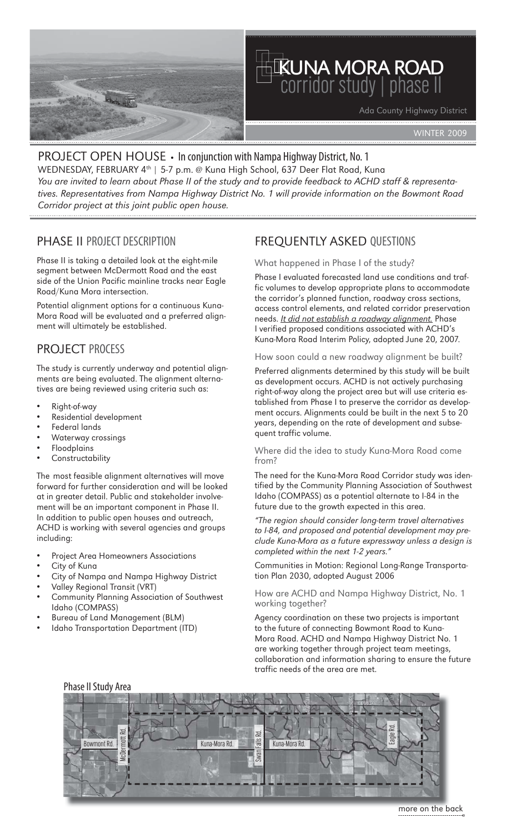

# kuna mora road corridor study|phase II

Ada County Highway District

WINTER 2009

# PROJECT OPEN HOUSE • In conjunction with Nampa Highway District, No. 1

WEDNESDAY, FEBRUARY 4<sup>th</sup> | 5-7 p.m. @ Kuna High School, 637 Deer Flat Road, Kuna *You are invited to learn about Phase II of the study and to provide feedback to ACHD staff & representatives. Representatives from Nampa Highway District No. 1 will provide information on the Bowmont Road Corridor project at this joint public open house.*

### PHASE II PROJECT DESCRIPTION

Phase II is taking a detailed look at the eight-mile segment between McDermott Road and the east side of the Union Pacific mainline tracks near Eagle Road/Kuna Mora intersection.

Potential alignment options for a continuous Kuna-Mora Road will be evaluated and a preferred alignment will ultimately be established.

### PROJECT PROCESS

The study is currently underway and potential alignments are being evaluated. The alignment alternatives are being reviewed using criteria such as:

- Right-of-way
- Residential development
- Federal lands
- Waterway crossings
- **Floodplains**
- **Constructability**

The most feasible alignment alternatives will move forward for further consideration and will be looked at in greater detail. Public and stakeholder involvement will be an important component in Phase II. In addition to public open houses and outreach, ACHD is working with several agencies and groups including:

- Project Area Homeowners Associations
- City of Kuna
- City of Nampa and Nampa Highway District
- Valley Regional Transit (VRT)
- Community Planning Association of Southwest Idaho (COMPASS)
- Bureau of Land Management (BLM)
- Idaho Transportation Department (ITD)

### FREQUENTLY ASKED QUESTIONS

#### What happened in Phase I of the study?

Phase I evaluated forecasted land use conditions and traffic volumes to develop appropriate plans to accommodate the corridor's planned function, roadway cross sections, access control elements, and related corridor preservation needs. *It did not establish a roadway alignment.* Phase I verified proposed conditions associated with ACHD's Kuna-Mora Road Interim Policy, adopted June 20, 2007.

How soon could a new roadway alignment be built?

Preferred alignments determined by this study will be built as development occurs. ACHD is not actively purchasing right-of-way along the project area but will use criteria established from Phase I to preserve the corridor as development occurs. Alignments could be built in the next 5 to 20 years, depending on the rate of development and subsequent traffic volume.

Where did the idea to study Kuna-Mora Road come from?

The need for the Kuna-Mora Road Corridor study was identified by the Community Planning Association of Southwest Idaho (COMPASS) as a potential alternate to I-84 in the future due to the growth expected in this area.

*"The region should consider long-term travel alternatives to I-84, and proposed and potential development may preclude Kuna-Mora as a future expressway unless a design is completed within the next 1-2 years."* 

Communities in Motion: Regional Long-Range Transportation Plan 2030, adopted August 2006

How are ACHD and Nampa Highway District, No. 1 working together?

Agency coordination on these two projects is important to the future of connecting Bowmont Road to Kuna-Mora Road. ACHD and Nampa Highway District No. 1 are working together through project team meetings, collaboration and information sharing to ensure the future traffic needs of the area are met.



#### Phase II Study Area

more on the back